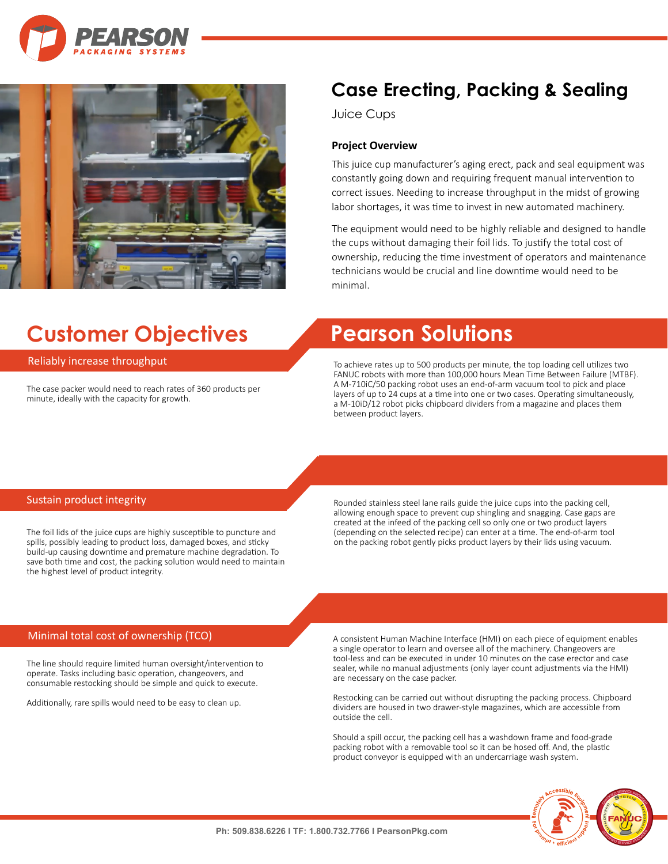



# **Customer Objectives Pearson Solutions**

### Reliably increase throughput

The case packer would need to reach rates of 360 products per minute, ideally with the capacity for growth.

## **Case Erecting, Packing & Sealing**

Juice Cups

### **Project Overview**

This juice cup manufacturer's aging erect, pack and seal equipment was constantly going down and requiring frequent manual intervention to correct issues. Needing to increase throughput in the midst of growing labor shortages, it was time to invest in new automated machinery.

The equipment would need to be highly reliable and designed to handle the cups without damaging their foil lids. To justify the total cost of ownership, reducing the time investment of operators and maintenance technicians would be crucial and line downtime would need to be minimal.

To achieve rates up to 500 products per minute, the top loading cell utilizes two FANUC robots with more than 100,000 hours Mean Time Between Failure (MTBF). A M-710iC/50 packing robot uses an end-of-arm vacuum tool to pick and place layers of up to 24 cups at a time into one or two cases. Operating simultaneously, a M-10iD/12 robot picks chipboard dividers from a magazine and places them between product layers.

### Sustain product integrity

The foil lids of the juice cups are highly susceptible to puncture and spills, possibly leading to product loss, damaged boxes, and sticky build-up causing downtime and premature machine degradation. To save both time and cost, the packing solution would need to maintain the highest level of product integrity.

Rounded stainless steel lane rails guide the juice cups into the packing cell, allowing enough space to prevent cup shingling and snagging. Case gaps are created at the infeed of the packing cell so only one or two product layers (depending on the selected recipe) can enter at a time. The end-of-arm tool on the packing robot gently picks product layers by their lids using vacuum.

### Minimal total cost of ownership (TCO)

The line should require limited human oversight/intervention to operate. Tasks including basic operation, changeovers, and consumable restocking should be simple and quick to execute.

Additionally, rare spills would need to be easy to clean up.

A consistent Human Machine Interface (HMI) on each piece of equipment enables a single operator to learn and oversee all of the machinery. Changeovers are tool-less and can be executed in under 10 minutes on the case erector and case sealer, while no manual adjustments (only layer count adjustments via the HMI) are necessary on the case packer.

Restocking can be carried out without disrupting the packing process. Chipboard dividers are housed in two drawer-style magazines, which are accessible from outside the cell.

Should a spill occur, the packing cell has a washdown frame and food-grade packing robot with a removable tool so it can be hosed off. And, the plastic product conveyor is equipped with an undercarriage wash system.